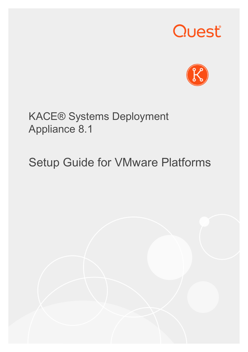# Quest®



# KACE® Systems Deployment Appliance 8.1

# Setup Guide for VMware Platforms

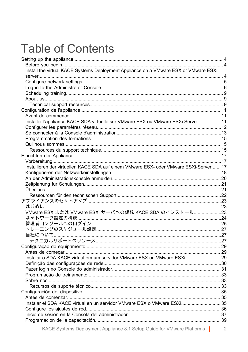# **Table of Contents**

| Install the virtual KACE Systems Deployment Appliance on a VMware ESX or VMware ESXi  |                |
|---------------------------------------------------------------------------------------|----------------|
|                                                                                       |                |
|                                                                                       |                |
|                                                                                       |                |
|                                                                                       |                |
|                                                                                       |                |
|                                                                                       |                |
|                                                                                       |                |
| Installer l'appliance KACE SDA virtuelle sur VMware ESX ou VMware ESXi Server 11      |                |
|                                                                                       |                |
|                                                                                       |                |
|                                                                                       |                |
|                                                                                       |                |
|                                                                                       |                |
|                                                                                       |                |
|                                                                                       |                |
| Installieren der virtuellen KACE SDA auf einem VMware ESX- oder VMware ESXi-Server 17 |                |
|                                                                                       |                |
|                                                                                       |                |
|                                                                                       |                |
|                                                                                       |                |
|                                                                                       |                |
|                                                                                       |                |
|                                                                                       |                |
| VMware ESX または VMware ESXi サーバへの仮想 KACE SDA のインストール23                                 |                |
|                                                                                       |                |
|                                                                                       |                |
|                                                                                       |                |
|                                                                                       |                |
|                                                                                       |                |
|                                                                                       |                |
|                                                                                       |                |
| Instalar o SDA KACE virtual em um servidor VMware ESX ou VMware ESXi 29               |                |
|                                                                                       |                |
|                                                                                       |                |
|                                                                                       |                |
|                                                                                       |                |
|                                                                                       |                |
|                                                                                       |                |
|                                                                                       |                |
| Instalar el SDA KACE virtual en un servidor VMware ESX o VMware ESXi 35               |                |
|                                                                                       |                |
|                                                                                       |                |
|                                                                                       |                |
| KACE Systems Deployment Appliance 8.1 Setup Guide for VMware Platforms                | $\overline{2}$ |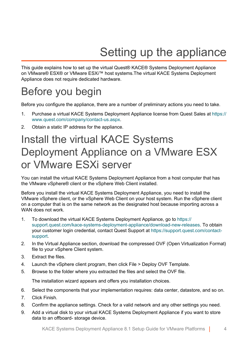# Setting up the appliance

<span id="page-3-0"></span>This guide explains how to set up the virtual Quest® KACE® Systems Deployment Appliance on VMware® ESX® or VMware ESXi™ host systems.The virtual KACE Systems Deployment Appliance does not require dedicated hardware.

## <span id="page-3-1"></span>Before you begin

Before you configure the appliance, there are a number of preliminary actions you need to take.

- 1. Purchase a virtual KACE Systems Deployment Appliance license from Quest Sales at [https://](https://www.quest.com/company/contact-us.aspx) [www.quest.com/company/contact-us.aspx](https://www.quest.com/company/contact-us.aspx).
- 2. Obtain a static IP address for the appliance.

# <span id="page-3-2"></span>Install the virtual KACE Systems Deployment Appliance on a VMware ESX or VMware ESXi server

You can install the virtual KACE Systems Deployment Appliance from a host computer that has the VMware vSphere® client or the vSphere Web Client installed.

Before you install the virtual KACE Systems Deployment Appliance, you need to install the VMware vSphere client, or the vSphere Web Client on your host system. Run the vSphere client on a computer that is on the same network as the designated host because importing across a WAN does not work

- 1. To download the virtual KACE Systems Deployment Appliance, go to [https://](https://support.quest.com/kace-systems-deployment-appliance/download-new-releases) [support.quest.com/kace-systems-deployment-appliance/download-new-releases](https://support.quest.com/kace-systems-deployment-appliance/download-new-releases). To obtain your customer login credential, contact Quest Support at [https://support.quest.com/contact](https://support.quest.com/contact-support)[support.](https://support.quest.com/contact-support)
- 2. In the Virtual Appliance section, download the compressed OVF (Open Virtualization Format) file to your vSphere Client system.
- 3. Extract the files.
- 4. Launch the vSphere client program, then click File > Deploy OVF Template.
- 5. Browse to the folder where you extracted the files and select the OVF file.

The installation wizard appears and offers you installation choices.

- 6. Select the components that your implementation requires: data center, datastore, and so on.
- 7. Click Finish.
- 8. Confirm the appliance settings. Check for a valid network and any other settings you need.
- 9. Add a virtual disk to your virtual KACE Systems Deployment Appliance if you want to store data to an offboard- storage device.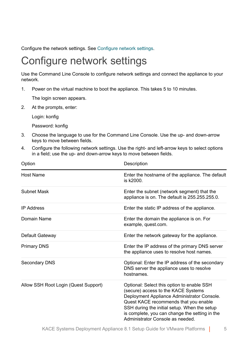Configure the network settings. See [Configure network settings.](#page-4-0)

### <span id="page-4-0"></span>Configure network settings

Use the Command Line Console to configure network settings and connect the appliance to your network.

1. Power on the virtual machine to boot the appliance. This takes 5 to 10 minutes.

The login screen appears.

2. At the prompts, enter:

Login: konfig

Password: konfig

- 3. Choose the language to use for the Command Line Console. Use the up- and down-arrow keys to move between fields.
- 4. Configure the following network settings. Use the right- and left-arrow keys to select options in a field; use the up- and down-arrow keys to move between fields.

| Option                               | Description                                                                                                                                                                                                                                                                                                     |
|--------------------------------------|-----------------------------------------------------------------------------------------------------------------------------------------------------------------------------------------------------------------------------------------------------------------------------------------------------------------|
| Host Name                            | Enter the hostname of the appliance. The default<br>is k2000.                                                                                                                                                                                                                                                   |
| Subnet Mask                          | Enter the subnet (network segment) that the<br>appliance is on. The default is 255.255.255.0.                                                                                                                                                                                                                   |
| <b>IP Address</b>                    | Enter the static IP address of the appliance.                                                                                                                                                                                                                                                                   |
| Domain Name                          | Enter the domain the appliance is on. For<br>example, quest.com.                                                                                                                                                                                                                                                |
| Default Gateway                      | Enter the network gateway for the appliance.                                                                                                                                                                                                                                                                    |
| <b>Primary DNS</b>                   | Enter the IP address of the primary DNS server<br>the appliance uses to resolve host names.                                                                                                                                                                                                                     |
| Secondary DNS                        | Optional: Enter the IP address of the secondary<br>DNS server the appliance uses to resolve<br>hostnames.                                                                                                                                                                                                       |
| Allow SSH Root Login (Quest Support) | Optional: Select this option to enable SSH<br>(secure) access to the KACE Systems<br>Deployment Appliance Administrator Console.<br>Quest KACE recommends that you enable<br>SSH during the initial setup. When the setup<br>is complete, you can change the setting in the<br>Administrator Console as needed. |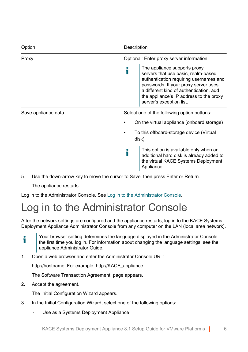| Option              | Description                                                                                                                                                                                                                                                             |
|---------------------|-------------------------------------------------------------------------------------------------------------------------------------------------------------------------------------------------------------------------------------------------------------------------|
| Proxy               | Optional: Enter proxy server information.                                                                                                                                                                                                                               |
|                     | The appliance supports proxy<br>servers that use basic, realm-based<br>authentication requiring usernames and<br>passwords. If your proxy server uses<br>a different kind of authentication, add<br>the appliance's IP address to the proxy<br>server's exception list. |
| Save appliance data | Select one of the following option buttons:                                                                                                                                                                                                                             |
|                     | On the virtual appliance (onboard storage)                                                                                                                                                                                                                              |
|                     | To this offboard-storage device (Virtual<br>disk)                                                                                                                                                                                                                       |
|                     | This option is available only when an<br>additional hard disk is already added to<br>the virtual KACE Systems Deployment<br>Appliance.                                                                                                                                  |

5. Use the down-arrow key to move the cursor to Save, then press Enter or Return.

The appliance restarts.

Log in to the Administrator Console. See [Log in to the Administrator Console.](#page-5-0)

## <span id="page-5-0"></span>Log in to the Administrator Console

After the network settings are configured and the appliance restarts, log in to the KACE Systems Deployment Appliance Administrator Console from any computer on the LAN (local area network).

Your browser setting determines the language displayed in the Administrator Console Ť the first time you log in. For information about changing the language settings, see the appliance Administrator Guide.

1. Open a web browser and enter the Administrator Console URL:

http://hostname. For example, http://KACE\_appliance.

The Software Transaction Agreement page appears.

2. Accept the agreement.

The Initial Configuration Wizard appears.

- 3. In the Initial Configuration Wizard, select one of the following options:
	- Use as a Systems Deployment Appliance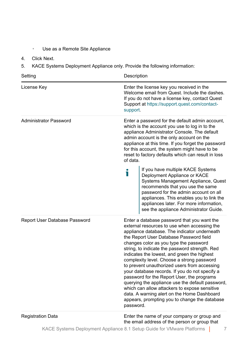#### ◦ Use as a Remote Site Appliance

- 4. Click Next.
- 5. KACE Systems Deployment Appliance only. Provide the following information:

| Setting                       | Description                                                                                                                                                                                                                                                                                                                                                                                                                                                                                                                                                                                                                                                                                                                                       |  |
|-------------------------------|---------------------------------------------------------------------------------------------------------------------------------------------------------------------------------------------------------------------------------------------------------------------------------------------------------------------------------------------------------------------------------------------------------------------------------------------------------------------------------------------------------------------------------------------------------------------------------------------------------------------------------------------------------------------------------------------------------------------------------------------------|--|
| License Key                   | Enter the license key you received in the<br>Welcome email from Quest. Include the dashes.<br>If you do not have a license key, contact Quest<br>Support at https://support.quest.com/contact-<br>support.                                                                                                                                                                                                                                                                                                                                                                                                                                                                                                                                        |  |
| Administrator Password        | Enter a password for the default admin account,<br>which is the account you use to log in to the<br>appliance Administrator Console. The default<br>admin account is the only account on the<br>appliance at this time. If you forget the password<br>for this account, the system might have to be<br>reset to factory defaults which can result in loss<br>of data.<br>If you have multiple KACE Systems                                                                                                                                                                                                                                                                                                                                        |  |
|                               | i<br>Deployment Appliance or KACE<br>Systems Management Appliance, Quest<br>recommends that you use the same<br>password for the admin account on all<br>appliances. This enables you to link the<br>appliances later. For more information,<br>see the appliance Administrator Guide.                                                                                                                                                                                                                                                                                                                                                                                                                                                            |  |
| Report User Database Password | Enter a database password that you want the<br>external resources to use when accessing the<br>appliance database. The indicator underneath<br>the Report User Database Password field<br>changes color as you type the password<br>string, to indicate the password strength. Red<br>indicates the lowest, and green the highest<br>complexity level. Choose a strong password<br>to prevent unauthorized users from accessing<br>your database records. If you do not specify a<br>password for the Report User, the programs<br>querying the appliance use the default password,<br>which can allow attackers to expose sensitive<br>data. A warning alert on the Home Dashboard<br>appears, prompting you to change the database<br>password. |  |
| <b>Registration Data</b>      | Enter the name of your company or group and<br>the email address of the person or group that                                                                                                                                                                                                                                                                                                                                                                                                                                                                                                                                                                                                                                                      |  |

KACE Systems Deployment Appliance 8.1 Setup Guide for VMware Platforms | 7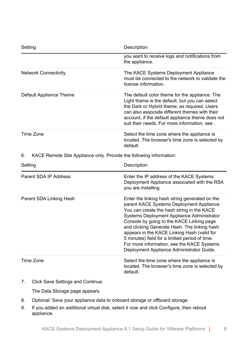| Setting                                                                   | Description                                                                                                                                                                                                                                                                                                                                                                                                                                                                      |
|---------------------------------------------------------------------------|----------------------------------------------------------------------------------------------------------------------------------------------------------------------------------------------------------------------------------------------------------------------------------------------------------------------------------------------------------------------------------------------------------------------------------------------------------------------------------|
|                                                                           | you want to receive logs and notifications from<br>the appliance.                                                                                                                                                                                                                                                                                                                                                                                                                |
| <b>Network Connectivity</b>                                               | The KACE Systems Deployment Appliance<br>must be connected to the network to validate the<br>license information                                                                                                                                                                                                                                                                                                                                                                 |
| Default Appliance Theme                                                   | The default color theme for the appliance. The<br>Light theme is the default, but you can select<br>the Dark or Hybrid theme, as required. Users<br>can also associate different themes with their<br>account, if the default appliance theme does not<br>suit their needs. For more information, see.                                                                                                                                                                           |
| Time Zone                                                                 | Select the time zone where the appliance is<br>located. The browser's time zone is selected by<br>default.                                                                                                                                                                                                                                                                                                                                                                       |
| KACE Remote Site Appliance only. Provide the following information:<br>6. |                                                                                                                                                                                                                                                                                                                                                                                                                                                                                  |
|                                                                           |                                                                                                                                                                                                                                                                                                                                                                                                                                                                                  |
| Setting                                                                   | Description                                                                                                                                                                                                                                                                                                                                                                                                                                                                      |
| Parent SDA IP Address                                                     | Enter the IP address of the KACE Systems<br>Deployment Appliance associated with the RSA<br>you are installing.                                                                                                                                                                                                                                                                                                                                                                  |
| Parent SDA Linking Hash                                                   | Enter the linking hash string generated on the<br>parent KACE Systems Deployment Appliance.<br>You can create the hash string in the KACE<br>Systems Deployment Appliance Administrator<br>Console by going to the KACE Linking page<br>and clicking Generate Hash. The linking hash<br>appears in the KACE Linking Hash (valid for<br>5 minutes) field for a limited period of time.<br>For more information, see the KACE Systems<br>Deployment Appliance Administrator Guide. |

7. Click Save Settings and Continue.

The Data Storage page appears.

- 8. Optional: Save your appliance data to onboard storage or offboard storage.
- 9. If you added an additional virtual disk, select it now and click Configure, then reboot appliance.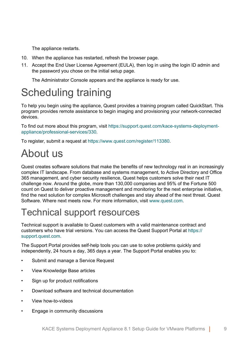The appliance restarts.

- 10. When the appliance has restarted, refresh the browser page.
- 11. Accept the End User License Agreement (EULA), then log in using the login ID admin and the password you chose on the initial setup page.

The Administrator Console appears and the appliance is ready for use.

# <span id="page-8-0"></span>Scheduling training

To help you begin using the appliance, Quest provides a training program called QuickStart. This program provides remote assistance to begin imaging and provisioning your network-connected devices.

To find out more about this program, visit [https://support.quest.com/kace-systems-deployment](https://support.quest.com/kace-systems-deployment-appliance/professional-services/330)[appliance/professional-services/330](https://support.quest.com/kace-systems-deployment-appliance/professional-services/330).

To register, submit a request at <https://www.quest.com/register/113380>.

# <span id="page-8-1"></span>About us

Quest creates software solutions that make the benefits of new technology real in an increasingly complex IT landscape. From database and systems management, to Active Directory and Office 365 management, and cyber security resilience, Quest helps customers solve their next IT challenge now. Around the globe, more than 130,000 companies and 95% of the Fortune 500 count on Quest to deliver proactive management and monitoring for the next enterprise initiative, find the next solution for complex Microsoft challenges and stay ahead of the next threat. Quest Software. Where next meets now. For more information, visit [www.quest.com](https://www.quest.com/company/contact-us.aspx).

#### <span id="page-8-2"></span>Technical support resources

Technical support is available to Quest customers with a valid maintenance contract and customers who have trial versions. You can access the Quest Support Portal at [https://](https://support.quest.com/) [support.quest.com.](https://support.quest.com/)

The Support Portal provides self-help tools you can use to solve problems quickly and independently, 24 hours a day, 365 days a year. The Support Portal enables you to:

- Submit and manage a Service Request
- View Knowledge Base articles
- Sign up for product notifications
- Download software and technical documentation
- View how-to-videos
- Engage in community discussions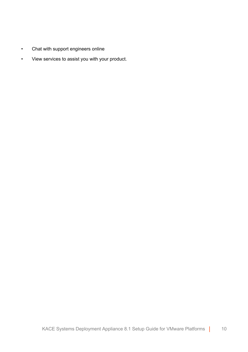- Chat with support engineers online
- View services to assist you with your product.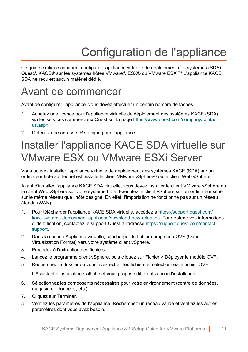# Configuration de l'appliance

<span id="page-10-0"></span>Ce guide explique comment configurer l'appliance virtuelle de déploiement des systèmes (SDA) Quest® KACE® sur les systèmes hôtes VMware® ESX® ou VMware ESXi™.L'appliance KACE SDA ne requiert aucun matériel dédié.

### <span id="page-10-1"></span>Avant de commencer

Avant de configurer l'appliance, vous devez effectuer un certain nombre de tâches.

- 1. Achetez une licence pour l'appliance virtuelle de déploiement des systèmes KACE (SDA) via les services commerciaux Quest sur la page [https://www.quest.com/company/contact](https://www.quest.com/company/contact-us.aspx)[us.aspx.](https://www.quest.com/company/contact-us.aspx)
- 2. Obtenez une adresse IP statique pour l'appliance.

# <span id="page-10-2"></span>Installer l'appliance KACE SDA virtuelle sur VMware ESX ou VMware ESXi Server

Vous pouvez installer l'appliance virtuelle de déploiement des systèmes KACE (SDA) sur un ordinateur hôte sur lequel est installé le client VMware vSphere® ou le client Web vSphere.

Avant d'installer l'appliance KACE SDA virtuelle, vous devez installer le client VMware vSphere ou le client Web vSphere sur votre système hôte. Exécutez le client vSphere sur un ordinateur situé sur le même réseau que l'hôte désigné. En effet, l'importation ne fonctionne pas sur un réseau étendu (WAN).

- 1. Pour télécharger l'appliance KACE SDA virtuelle, accédez à [https://support.quest.com/](https://support.quest.com/kace-systems-deployment-appliance/download-new-releases) [kace-systems-deployment-appliance/download-new-releases](https://support.quest.com/kace-systems-deployment-appliance/download-new-releases). Pour obtenir vos informations d'identification, contactez le support Quest à l'adresse [https://support.quest.com/contact](https://support.quest.com/contact-support)[support.](https://support.quest.com/contact-support)
- 2. Dans la section Appliance virtuelle, téléchargez le fichier compressé OVF (Open Virtualization Format) vers votre système client vSphere.
- 3. Procédez à l'extraction des fichiers.
- 4. Lancez le programme client vSphere, puis cliquez sur Fichier > Déployer le modèle OVF.
- 5. Recherchez le dossier où vous avez extrait les fichiers et sélectionnez le fichier OVF.

L'Assistant d'installation s'affiche et vous propose différents choix d'installation.

- 6. Sélectionnez les composants nécessaires pour votre environnement (centre de données, magasin de données, etc.).
- 7. Cliquez sur Terminer.
- 8. Vérifiez les paramètres de l'appliance. Recherchez un réseau valide et vérifiez les autres paramètres dont vous avez besoin.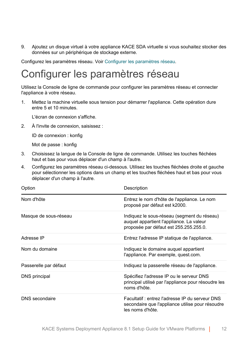9. Ajoutez un disque virtuel à votre appliance KACE SDA virtuelle si vous souhaitez stocker des données sur un périphérique de stockage externe.

Configurez les paramètres réseau. Voir [Configurer les paramètres réseau](#page-11-0).

# <span id="page-11-0"></span>Configurer les paramètres réseau

Utilisez la Console de ligne de commande pour configurer les paramètres réseau et connecter l'appliance à votre réseau.

1. Mettez la machine virtuelle sous tension pour démarrer l'appliance. Cette opération dure entre 5 et 10 minutes.

L'écran de connexion s'affiche.

2. À l'invite de connexion, saisissez :

ID de connexion : konfig

Mot de passe : konfig

- 3. Choisissez la langue de la Console de ligne de commande. Utilisez les touches fléchées haut et bas pour vous déplacer d'un champ à l'autre.
- 4. Configurez les paramètres réseau ci-dessous. Utilisez les touches fléchées droite et gauche pour sélectionner les options dans un champ et les touches fléchées haut et bas pour vous déplacer d'un champ à l'autre.

| Option                | Description                                                                                                                       |
|-----------------------|-----------------------------------------------------------------------------------------------------------------------------------|
| Nom d'hôte            | Entrez le nom d'hôte de l'appliance. Le nom<br>proposé par défaut est k2000.                                                      |
| Masque de sous-réseau | Indiquez le sous-réseau (segment du réseau)<br>auquel appartient l'appliance. La valeur<br>proposée par défaut est 255.255.255.0. |
| Adresse IP            | Entrez l'adresse IP statique de l'appliance.                                                                                      |
| Nom du domaine        | Indiquez le domaine auquel appartient<br>l'appliance. Par exemple, quest com.                                                     |
| Passerelle par défaut | Indiquez la passerelle réseau de l'appliance.                                                                                     |
| DNS principal         | Spécifiez l'adresse IP ou le serveur DNS<br>principal utilisé par l'appliance pour résoudre les<br>noms d'hôte.                   |
| DNS secondaire        | Facultatif: entrez l'adresse IP du serveur DNS<br>secondaire que l'appliance utilise pour résoudre<br>les noms d'hôte.            |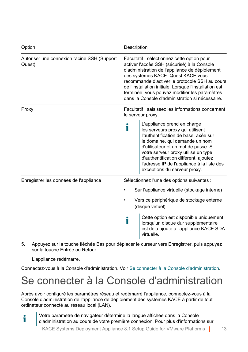| Option                                                | Description                                                                                                                                                                                                                                                                                                                                                                                        |  |
|-------------------------------------------------------|----------------------------------------------------------------------------------------------------------------------------------------------------------------------------------------------------------------------------------------------------------------------------------------------------------------------------------------------------------------------------------------------------|--|
| Autoriser une connexion racine SSH (Support<br>Quest) | Facultatif : sélectionnez cette option pour<br>activer l'accès SSH (sécurisé) à la Console<br>d'administration de l'appliance de déploiement<br>des systèmes KACE. Quest KACE vous<br>recommande d'activer le protocole SSH au cours<br>de l'installation initiale. Lorsque l'installation est<br>terminée, vous pouvez modifier les paramètres<br>dans la Console d'administration si nécessaire. |  |
| Proxy                                                 | Facultatif: saisissez les informations concernant<br>le serveur proxy.                                                                                                                                                                                                                                                                                                                             |  |
|                                                       | L'appliance prend en charge<br>i<br>les serveurs proxy qui utilisent<br>l'authentification de base, axée sur<br>le domaine, qui demande un nom<br>d'utilisateur et un mot de passe. Si<br>votre serveur proxy utilise un type<br>d'authentification différent, ajoutez<br>l'adresse IP de l'appliance à la liste des<br>exceptions du serveur proxy.                                               |  |
| Enregistrer les données de l'appliance                | Sélectionnez l'une des options suivantes :                                                                                                                                                                                                                                                                                                                                                         |  |
|                                                       | Sur l'appliance virtuelle (stockage interne)                                                                                                                                                                                                                                                                                                                                                       |  |
|                                                       | Vers ce périphérique de stockage externe<br>(disque virtuel)                                                                                                                                                                                                                                                                                                                                       |  |
|                                                       | Cette option est disponible uniquement<br>i<br>lorsqu'un disque dur supplémentaire<br>est déjà ajouté à l'appliance KACE SDA<br>virtuelle.                                                                                                                                                                                                                                                         |  |

5. Appuyez sur la touche fléchée Bas pour déplacer le curseur vers Enregistrer, puis appuyez sur la touche Entrée ou Retour.

L'appliance redémarre.

Ť

Connectez-vous à la Console d'administration. Voir [Se connecter à la Console d'administration](#page-12-0).

## <span id="page-12-0"></span>Se connecter à la Console d'administration

Après avoir configuré les paramètres réseau et redémarré l'appliance, connectez-vous à la Console d'administration de l'appliance de déploiement des systèmes KACE à partir de tout ordinateur connecté au réseau local (LAN).

Votre paramètre de navigateur détermine la langue affichée dans la Console d'administration au cours de votre première connexion. Pour plus d'informations sur

KACE Systems Deployment Appliance 8.1 Setup Guide for VMware Platforms | 13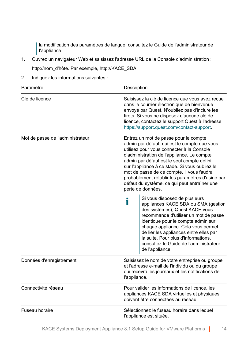la modification des paramètres de langue, consultez le Guide de l'administrateur de l'appliance.

- 1. Ouvrez un navigateur Web et saisissez l'adresse URL de la Console d'administration : http://nom\_d'hôte. Par exemple, http://KACE\_SDA.
- 2. Indiquez les informations suivantes :

| Paramètre                        | Description                                                                                                                                                                                                                                                                                                                                                                                                                                            |
|----------------------------------|--------------------------------------------------------------------------------------------------------------------------------------------------------------------------------------------------------------------------------------------------------------------------------------------------------------------------------------------------------------------------------------------------------------------------------------------------------|
| Clé de licence                   | Saisissez la clé de licence que vous avez reçue<br>dans le courrier électronique de bienvenue<br>envoyé par Quest. N'oubliez pas d'inclure les<br>tirets. Si vous ne disposez d'aucune clé de<br>licence, contactez le support Quest à l'adresse<br>https://support.quest.com/contact-support.                                                                                                                                                         |
| Mot de passe de l'administrateur | Entrez un mot de passe pour le compte<br>admin par défaut, qui est le compte que vous<br>utilisez pour vous connecter à la Console<br>d'administration de l'appliance. Le compte<br>admin par défaut est le seul compte défini<br>sur l'appliance à ce stade. Si vous oubliez le<br>mot de passe de ce compte, il vous faudra<br>probablement rétablir les paramètres d'usine par<br>défaut du système, ce qui peut entraîner une<br>perte de données. |
|                                  | Si vous disposez de plusieurs<br>Т<br>appliances KACE SDA ou SMA (gestion<br>des systèmes), Quest KACE vous<br>recommande d'utiliser un mot de passe<br>identique pour le compte admin sur<br>chaque appliance. Cela vous permet<br>de lier les appliances entre elles par<br>la suite. Pour plus d'informations,<br>consultez le Guide de l'administrateur<br>de l'appliance.                                                                         |
| Données d'enregistrement         | Saisissez le nom de votre entreprise ou groupe<br>et l'adresse e-mail de l'individu ou du groupe<br>qui recevra les journaux et les notifications de<br>l'appliance.                                                                                                                                                                                                                                                                                   |
| Connectivité réseau              | Pour valider les informations de licence, les<br>appliances KACE SDA virtuelles et physiques<br>doivent être connectées au réseau.                                                                                                                                                                                                                                                                                                                     |
| Fuseau horaire                   | Sélectionnez le fuseau horaire dans lequel<br>l'appliance est située.                                                                                                                                                                                                                                                                                                                                                                                  |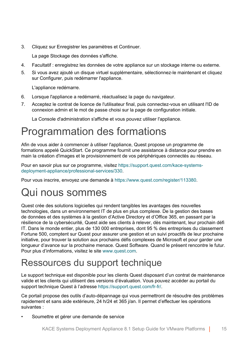3. Cliquez sur Enregistrer les paramètres et Continuer.

La page Stockage des données s'affiche.

- 4. Facultatif : enregistrez les données de votre appliance sur un stockage interne ou externe.
- 5. Si vous avez ajouté un disque virtuel supplémentaire, sélectionnez-le maintenant et cliquez sur Configurer, puis redémarrer l'appliance.

L'appliance redémarre.

- 6. Lorsque l'appliance a redémarré, réactualisez la page du navigateur.
- 7. Acceptez le contrat de licence de l'utilisateur final, puis connectez-vous en utilisant l'ID de connexion admin et le mot de passe choisi sur la page de configuration initiale.

La Console d'administration s'affiche et vous pouvez utiliser l'appliance.

# <span id="page-14-0"></span>Programmation des formations

Afin de vous aider à commencer à utiliser l'appliance, Quest propose un programme de formations appelé QuickStart. Ce programme fournit une assistance à distance pour prendre en main la création d'images et le provisionnement de vos périphériques connectés au réseau.

Pour en savoir plus sur ce programme, visitez [https://support.quest.com/kace-systems](https://support.quest.com/kace-systems-deployment-appliance/professional-services/330)[deployment-appliance/professional-services/330](https://support.quest.com/kace-systems-deployment-appliance/professional-services/330).

Pour vous inscrire, envoyez une demande à<https://www.quest.com/register/113380>.

# <span id="page-14-1"></span>Qui nous sommes

Quest crée des solutions logicielles qui rendent tangibles les avantages des nouvelles technologies, dans un environnement IT de plus en plus complexe. De la gestion des bases de données et des systèmes à la gestion d'Active Directory et d'Office 365, en passant par la résilience de la cybersécurité, Quest aide ses clients à relever, dès maintenant, leur prochain défi IT. Dans le monde entier, plus de 130 000 entreprises, dont 95 % des entreprises du classement Fortune 500, comptent sur Quest pour assurer une gestion et un suivi proactifs de leur prochaine initiative, pour trouver la solution aux prochains défis complexes de Microsoft et pour garder une longueur d'avance sur la prochaine menace. Quest Software. Quand le présent rencontre le futur. Pour plus d'informations, visitez le site [www.quest.com](https://www.quest.com/company/contact-us.aspx).

#### <span id="page-14-2"></span>Ressources du support technique

Le support technique est disponible pour les clients Quest disposant d'un contrat de maintenance valide et les clients qui utilisent des versions d'évaluation. Vous pouvez accéder au portail du support technique Quest à l'adresse [https://support.quest.com/fr-fr/.](https://support.quest.com/)

Ce portail propose des outils d'auto-dépannage qui vous permettront de résoudre des problèmes rapidement et sans aide extérieure, 24 h/24 et 365 j/an. Il permet d'effectuer les opérations suivantes :

Soumettre et gérer une demande de service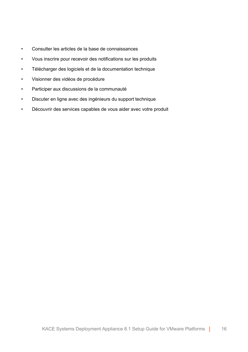- Consulter les articles de la base de connaissances
- Vous inscrire pour recevoir des notifications sur les produits
- Télécharger des logiciels et de la documentation technique
- Visionner des vidéos de procédure
- Participer aux discussions de la communauté
- Discuter en ligne avec des ingénieurs du support technique
- Découvrir des services capables de vous aider avec votre produit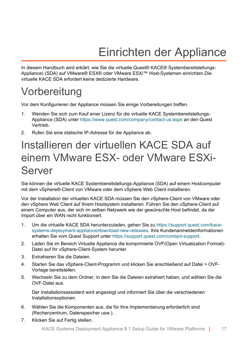# Einrichten der Appliance

<span id="page-16-0"></span>In diesem Handbuch wird erklärt, wie Sie die virtuelle Quest® KACE® Systembereitstellungs-Appliance) (SDA) auf VMware® ESX® oder VMware ESXi™ Host-Systemen einrichten.Die virtuelle KACE SDA erfordert keine dedizierte Hardware.

# <span id="page-16-1"></span>**Vorbereitung**

Vor dem Konfigurieren der Appliance müssen Sie einige Vorbereitungen treffen.

- 1. Wenden Sie sich zum Kauf einer Lizenz für die virtuelle KACE Systembereitstellungs-Appliance (SDA) unter <https://www.quest.com/company/contact-us.aspx> an den Quest Vertrieb.
- 2. Rufen Sie eine statische IP-Adresse für die Appliance ab.

# <span id="page-16-2"></span>Installieren der virtuellen KACE SDA auf einem VMware ESX- oder VMware ESXi-Server

Sie können die virtuelle KACE Systembereitstellungs-Appliance (SDA) auf einem Hostcomputer mit dem vSphere®-Client von VMware oder dem vSphere Web Client installieren.

Vor der Installation der virtuellen KACE SDA müssen Sie den vSphere-Client von VMware oder den vSphere Web Client auf Ihrem Hostsystem installieren. Führen Sie den vSphere-Client auf einem Computer aus, der sich im selben Netzwerk wie der gewünschte Host befindet, da der Import über ein WAN nicht funktioniert.

- 1. Um die virtuelle KACE SDA herunterzuladen, gehen Sie zu [https://support.quest.com/kace](https://support.quest.com/kace-systems-deployment-appliance/download-new-releases)[systems-deployment-appliance/download-new-releases.](https://support.quest.com/kace-systems-deployment-appliance/download-new-releases) Ihre Kundenanmeldeinformationen erhalten Sie vom Quest Support unter<https://support.quest.com/contact-support>.
- 2. Laden Sie im Bereich Virtuelle Appliance die komprimierte OVF(Open Virtualization Format)- Datei auf Ihr vSphere-Client-System herunter.
- 3. Extrahieren Sie die Dateien.
- 4. Starten Sie das vSphere-Client-Programm und klicken Sie anschließend auf Datei > OVF-Vorlage bereitstellen.
- 5. Wechseln Sie zu dem Ordner, in dem Sie die Dateien extrahiert haben, und wählen Sie die OVF-Datei aus.

Der Installationsassistent wird angezeigt und informiert Sie über die verschiedenen Installationsoptionen.

- 6. Wählen Sie die Komponenten aus, die für Ihre Implementierung erforderlich sind (Rechenzentrum, Datenspeicher usw.).
- 7. Klicken Sie auf Fertig stellen.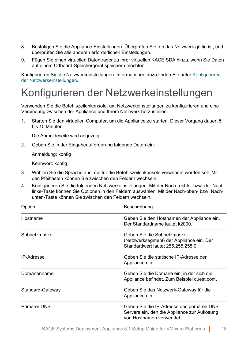- 8. Bestätigen Sie die Appliance-Einstellungen. Überprüfen Sie, ob das Netzwerk gültig ist, und überprüfen Sie alle anderen erforderlichen Einstellungen.
- 9. Fügen Sie einen virtuellen Datenträger zu Ihrer virtuellen KACE SDA hinzu, wenn Sie Daten auf einem Offboard-Speichergerät speichern möchten.

Konfigurieren Sie die Netzwerkeinstellungen. Informationen dazu finden Sie unter [Konfigurieren](#page-17-0) [der Netzwerkeinstellungen](#page-17-0).

## <span id="page-17-0"></span>Konfigurieren der Netzwerkeinstellungen

Verwenden Sie die Befehlszeilenkonsole, um Netzwerkeinstellungen zu konfigurieren und eine Verbindung zwischen der Appliance und Ihrem Netzwerk herzustellen.

1. Starten Sie den virtuellen Computer, um die Appliance zu starten. Dieser Vorgang dauert 5 bis 10 Minuten.

Die Anmeldeseite wird angezeigt.

2. Geben Sie in der Eingabeaufforderung folgende Daten ein:

Anmeldung: konfig

Kennwort: konfig

- 3. Wählen Sie die Sprache aus, die für die Befehlszeilenkonsole verwendet werden soll. Mit den Pfeiltasten können Sie zwischen den Feldern wechseln.
- 4. Konfigurieren Sie die folgenden Netzwerkeinstellungen. Mit der Nach-rechts- bzw. der Nachlinks-Taste können Sie Optionen in den Feldern auswählen. Mit der Nach-oben- bzw. Nachunten-Taste können Sie zwischen den Feldern wechseln.

| Option            | Beschreibung                                                                                                           |
|-------------------|------------------------------------------------------------------------------------------------------------------------|
| Hostname          | Geben Sie den Hostnamen der Appliance ein.<br>Der Standardname lautet k2000.                                           |
| Subnetzmaske      | Geben Sie die Subnetzmaske<br>(Netzwerksegment) der Appliance ein. Der<br>Standardwert lautet 255.255.255.0.           |
| <b>IP-Adresse</b> | Geben Sie die statische IP-Adresse der<br>Appliance ein.                                                               |
| Domänenname       | Geben Sie die Domäne ein, in der sich die<br>Appliance befindet. Zum Beispiel quest.com.                               |
| Standard-Gateway  | Geben Sie das Netzwerk-Gateway für die<br>Appliance ein.                                                               |
| Primärer DNS      | Geben Sie die IP-Adresse des primären DNS-<br>Servers ein, den die Appliance zur Auflösung<br>von Hostnamen verwendet. |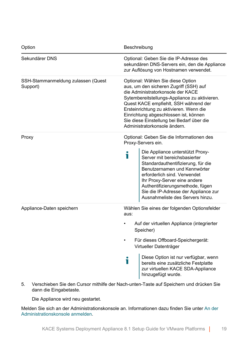| Option                                         | Beschreibung |                                                                                                                                                                                                                                                                                                                                                                             |  |
|------------------------------------------------|--------------|-----------------------------------------------------------------------------------------------------------------------------------------------------------------------------------------------------------------------------------------------------------------------------------------------------------------------------------------------------------------------------|--|
| Sekundärer DNS                                 |              | Optional: Geben Sie die IP-Adresse des<br>sekundären DNS-Servers ein, den die Appliance<br>zur Auflösung von Hostnamen verwendet.                                                                                                                                                                                                                                           |  |
| SSH-Stammanmeldung zulassen (Quest<br>Support) |              | Optional: Wählen Sie diese Option<br>aus, um den sicheren Zugriff (SSH) auf<br>die Administratorkonsole der KACE<br>Sytembereitstellungs-Appliance zu aktivieren.<br>Quest KACE empfiehlt, SSH während der<br>Ersteinrichtung zu aktivieren. Wenn die<br>Einrichtung abgeschlossen ist, können<br>Sie diese Einstellung bei Bedarf über die<br>Administratorkonsole ändern. |  |
| Proxy                                          |              | Optional: Geben Sie die Informationen des<br>Proxy-Servers ein.                                                                                                                                                                                                                                                                                                             |  |
|                                                | Т            | Die Appliance unterstützt Proxy-<br>Server mit bereichsbasierter<br>Standardauthentifizierung, für die<br>Benutzernamen und Kennwörter<br>erforderlich sind. Verwendet<br>Ihr Proxy-Server eine andere<br>Authentifizierungsmethode, fügen<br>Sie die IP-Adresse der Appliance zur<br>Ausnahmeliste des Servers hinzu.                                                      |  |
| Appliance-Daten speichern                      | aus:         | Wählen Sie eines der folgenden Optionsfelder                                                                                                                                                                                                                                                                                                                                |  |
|                                                |              | Auf der virtuellen Appliance (integrierter<br>Speicher)                                                                                                                                                                                                                                                                                                                     |  |
|                                                | ٠            | Für dieses Offboard-Speichergerät:<br>Virtueller Datenträger                                                                                                                                                                                                                                                                                                                |  |
|                                                | Т            | Diese Option ist nur verfügbar, wenn<br>bereits eine zusätzliche Festplatte<br>zur virtuellen KACE SDA-Appliance<br>hinzugefügt wurde.                                                                                                                                                                                                                                      |  |

5. Verschieben Sie den Cursor mithilfe der Nach-unten-Taste auf Speichern und drücken Sie dann die Eingabetaste.

Die Appliance wird neu gestartet.

Melden Sie sich an der Administrationskonsole an. Informationen dazu finden Sie unter [An der](#page-19-0) [Administrationskonsole anmelden.](#page-19-0)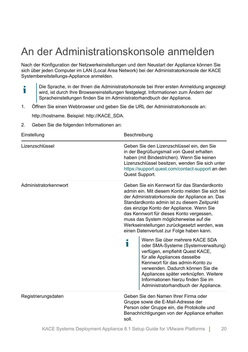# <span id="page-19-0"></span>An der Administrationskonsole anmelden

Nach der Konfiguration der Netzwerkeinstellungen und dem Neustart der Appliance können Sie sich über jeden Computer im LAN (Local Area Network) bei der Administratorkonsole der KACE Systembereitstellungs-Appliance anmelden.

- Die Sprache, in der Ihnen die Administratorkonsole bei Ihrer ersten Anmeldung angezeigt i wird, ist durch Ihre Browsereinstellungen festgelegt. Informationen zum Ändern der Spracheinstellungen finden Sie im Administratorhandbuch der Appliance.
- 1. Öffnen Sie einen Webbrowser und geben Sie die URL der Administratorkonsole an:

http://hostname. Beispiel: http://KACE\_SDA.

2. Geben Sie die folgenden Informationen an:

| Einstellung           | Beschreibung                                                                                                                                                                                                                                                                                                                                                                                                                    |  |
|-----------------------|---------------------------------------------------------------------------------------------------------------------------------------------------------------------------------------------------------------------------------------------------------------------------------------------------------------------------------------------------------------------------------------------------------------------------------|--|
| Lizenzschlüssel       | Geben Sie den Lizenzschlüssel ein, den Sie<br>in der Begrüßungsmail von Quest erhalten<br>haben (mit Bindestrichen). Wenn Sie keinen<br>Lizenzschlüssel besitzen, wenden Sie sich unter<br>https://support.quest.com/contact-support an den<br>Quest Support.                                                                                                                                                                   |  |
| Administratorkennwort | Geben Sie ein Kennwort für das Standardkonto<br>admin ein. Mit diesem Konto melden Sie sich bei<br>der Administratorkonsole der Appliance an. Das<br>Standardkonto admin ist zu diesem Zeitpunkt<br>das einzige Konto der Appliance. Wenn Sie<br>das Kennwort für dieses Konto vergessen,<br>muss das System möglicherweise auf die<br>Werkseinstellungen zurückgesetzt werden, was<br>einen Datenverlust zur Folge haben kann. |  |
|                       | Wenn Sie über mehrere KACE SDA<br>i<br>oder SMA-Systeme (Systemverwaltung)<br>verfügen, empfiehlt Quest KACE,<br>für alle Appliances dasselbe<br>Kennwort für das admin-Konto zu<br>verwenden. Dadurch können Sie die<br>Appliances später verknüpfen. Weitere<br>Informationen hierzu finden Sie im<br>Administratorhandbuch der Appliance.                                                                                    |  |
| Registrierungsdaten   | Geben Sie den Namen Ihrer Firma oder<br>Gruppe sowie die E-Mail-Adresse der<br>Person oder Gruppe ein, die Protokolle und<br>Benachrichtigungen von der Appliance erhalten<br>soll.                                                                                                                                                                                                                                             |  |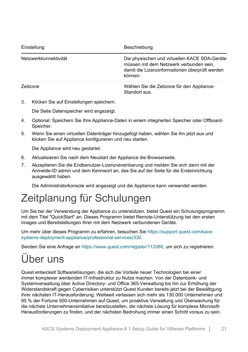| Einstellung           | Beschreibung                                                                                                                                          |
|-----------------------|-------------------------------------------------------------------------------------------------------------------------------------------------------|
| Netzwerkkonnektivität | Die physischen und virtuellen KACE SDA-Geräte<br>müssen mit dem Netzwerk verbunden sein,<br>damit die Lizenzinformationen überprüft werden<br>können. |
| Zeitzone              | Wählen Sie die Zeitzone für den Appliance-<br>Standort aus.                                                                                           |

3. Klicken Sie auf Einstellungen speichern.

Die Seite Datenspeicher wird angezeigt.

- 4. Optional: Speichern Sie Ihre Appliance-Daten in einem integrierten Speicher oder Offboard-Speicher.
- 5. Wenn Sie einen virtuellen Datenträger hinzugefügt haben, wählen Sie ihn jetzt aus und klicken Sie auf Appliance konfigurieren und neu starten.

Die Appliance wird neu gestartet.

- 6. Aktualisieren Sie nach dem Neustart der Appliance die Browserseite.
- 7. Akzeptieren Sie die Endbenutzer-Lizenzvereinbarung und melden Sie sich dann mit der Anmelde-ID admin und dem Kennwort an, das Sie auf der Seite für die Ersteinrichtung ausgewählt haben.

Die Administratorkonsole wird angezeigt und die Appliance kann verwendet werden.

# <span id="page-20-0"></span>Zeitplanung für Schulungen

Um Sie bei der Verwendung der Appliance zu unterstützen, bietet Quest ein Schulungsprogramm mit dem Titel "QuickStart" an. Dieses Programm bietet Remote-Unterstützung bei den ersten Images und Bereitstellungen Ihrer mit dem Netzwerk verbundenen Geräte.

Um mehr über dieses Programm zu erfahren, besuchen Sie [https://support.quest.com/kace](https://support.quest.com/kace-systems-deployment-appliance/professional-services/330)[systems-deployment-appliance/professional-services/330](https://support.quest.com/kace-systems-deployment-appliance/professional-services/330).

Senden Sie eine Anfrage an<https://www.quest.com/register/113380>, um sich zu registrieren.

# <span id="page-20-1"></span>Über uns

Quest entwickelt Softwarelösungen, die sich die Vorteile neuer Technologien bei einer immer komplexer werdenden IT-Infrastruktur zu Nutze machen. Von der Datenbank- und Systemverwaltung über Active Directory- und Office 365-Verwaltung bis hin zur Erhöhung der Widerstandskraft gegen Cyberrisiken unterstützt Quest Kunden bereits jetzt bei der Bewältigung ihrer nächsten IT-Herausforderung. Weltweit verlassen sich mehr als 130.000 Unternehmen und 95 % der Fortune 500-Unternehmen auf Quest, um proaktive Verwaltung und Überwachung für die nächste Unternehmensinitiative bereitzustellen, die nächste Lösung für komplexe Microsoft-Herausforderungen zu finden, und der nächsten Bedrohung immer einen Schritt voraus zu sein.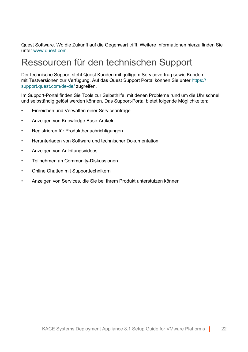Quest Software. Wo die Zukunft auf die Gegenwart trifft. Weitere Informationen hierzu finden Sie unter [www.quest.com.](https://www.quest.com/company/contact-us.aspx)

#### <span id="page-21-0"></span>Ressourcen für den technischen Support

Der technische Support steht Quest Kunden mit gültigem Servicevertrag sowie Kunden mit Testversionen zur Verfügung. Auf das Quest Support Portal können Sie unter [https://](https://support.quest.com/) [support.quest.com/de-de/](https://support.quest.com/) zugreifen.

Im Support-Portal finden Sie Tools zur Selbsthilfe, mit denen Probleme rund um die Uhr schnell und selbständig gelöst werden können. Das Support-Portal bietet folgende Möglichkeiten:

- Einreichen und Verwalten einer Serviceanfrage
- Anzeigen von Knowledge Base-Artikeln
- Registrieren für Produktbenachrichtigungen
- Herunterladen von Software und technischer Dokumentation
- Anzeigen von Anleitungsvideos
- Teilnehmen an Community-Diskussionen
- Online Chatten mit Supporttechnikern
- Anzeigen von Services, die Sie bei Ihrem Produkt unterstützen können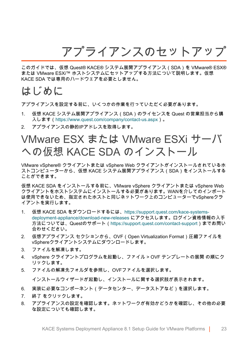アプライアンスのセットアップ

<span id="page-22-0"></span>このガイドでは、仮想 Quest® KACE® システム展開アプライアンス(SDA)を VMware® ESX® または VMware ESXi™ ホストシステムにセットアップする方法について説明します。仮想 KACE SDA では専用のハードウェアを必要としません。

#### <span id="page-22-1"></span>はじめに

アプライアンスを設定する前に、いくつかの作業を行っていただく必要があります。

- 1. 仮想 KACE システム展開アプライアンス(SDA)のライセンスを Quest の営業担当から購 入します(<https://www.quest.com/company/contact-us.aspx>)。
- 2. アプライアンスの静的IPアドレスを取得します。

### <span id="page-22-2"></span>VMware ESX または VMware ESXi サーバ への仮想 KACE SDA のインストール

VMware vSphere® クライアントまたは vSphere Web クライアントがインストールされているホ ストコンピューターから、仮想 KACE システム展開アプライアンス(SDA)をインストールする ことができます。

仮想 KACE SDA をインストールする前に、VMware vSphere クライアントまたは vSphere Web クライアントをホストシステムにインストールする必要があります。WANを介してのインポート は使用できないため、指定されたホストと同じネットワーク上のコンピューターでvSphereクラ イアントを実行します。

- 1. 仮想 KACE SDA をダウンロードするには、[https://support.quest.com/kace-systems](https://support.quest.com/kace-systems-deployment-appliance/download-new-releases)[deployment-appliance/download-new-releases](https://support.quest.com/kace-systems-deployment-appliance/download-new-releases) にアクセスします。ログイン資格情報の入手 方法については、Questのサポート[\(https://support.quest.com/contact-support](https://support.quest.com/contact-support))までお問い 合わせください。
- 2. 仮想アプライアンス セクションから、OVF(Open Virtualization Format)圧縮ファイルを vSphereクライアントシステムにダウンロードします。
- 3. ファイルを解凍します。
- 4. vSphere クライアントプログラムを起動し、ファイル > OVF テンプレートの展開 の順にク リックします。
- 5. ファイルの解凍先フォルダを参照し、OVFファイルを選択します。

インストールウィザードが起動し、インストールに関する選択肢が表示されます。

- 6. 実装に必要なコンポーネント(データセンター、データストアなど)を選択します。
- 7. 終了 をクリックします。
- 8. アプライアンスの設定を確認します。ネットワークが有効かどうかを確認し、その他の必要 な設定についても確認します。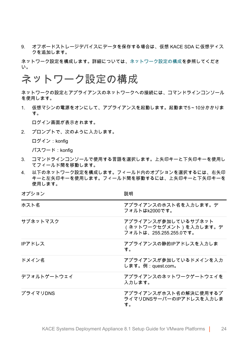9. オフボードストレージデバイスにデータを保存する場合は、仮想 KACE SDA に仮想ディス クを追加します。

ネットワーク設定を構成します。詳細については、[ネットワーク設定の構成](#page-23-0)を参照してくださ い。

#### <span id="page-23-0"></span>ネットワーク設定の構成

ネットワークの設定とアプライアンスのネットワークへの接続には、コマンドラインコンソール を使用します。

1. 仮想マシンの電源をオンにして、アプライアンスを起動します。起動まで5~10分かかりま す。

ログイン画面が表示されます。

2. プロンプトで、次のように入力します。

ログイン:konfig

パスワード:konfig

- 3. コマンドラインコンソールで使用する言語を選択します。上矢印キーと下矢印キーを使用し てフィールド間を移動します。
- 4. 以下のネットワーク設定を構成します。フィールド内のオプションを選択するには、右矢印 キーと左矢印キーを使用します。フィールド間を移動するには、上矢印キーと下矢印キーを 使用します。

オプション アンチャン かいしゃ かいしゃ 説明

| ホスト名        | アプライアンスのホスト名を入力します。デ<br>フォルトはk2000です。                                  |
|-------------|------------------------------------------------------------------------|
| サブネットマスク    | アプライアンスが参加しているサブネット<br>(ネットワークセグメント)を入力します。デ<br>フォルトは、255.255.255.0です。 |
| IPアドレス      | アプライアンスの静的IPアドレスを入力しま<br>す。                                            |
| ドメイン名       | アプライアンスが参加しているドメインを入力<br>します。例:quest.com。                              |
| デフォルトゲートウェイ | アプライアンスのネットワークゲートウェイを<br>入力します。                                        |
| プライマリDNS    | アプライアンスがホスト名の解決に使用するプ<br>ライマリDNSサーバーのIPアドレスを入力しま<br>す。                 |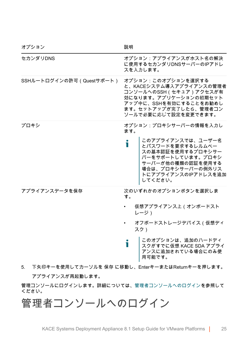| オプション                    | 説明                                                                                                                                                                           |
|--------------------------|------------------------------------------------------------------------------------------------------------------------------------------------------------------------------|
| セカンダリDNS                 | オプション:アプライアンスがホスト名の解決<br>に使用するセカンダリDNSサーバーのIPアドレ<br>スを入力します。                                                                                                                 |
| SSHルートログインの許可(Questサポート) | オプション:このオプションを選択する<br>と、KACEシステム導入アプライアンスの管理者<br>コンソールへのSSH (セキュア)アクセスが有<br>効になります。アプリケーションの初期セット<br>アップ中に、SSHを有効にすることをお勧めし<br>ます。セットアップが完了したら、管理者コン<br>ソールで必要に応じて設定を変更できます。 |
| プロキシ                     | オプション:プロキシサーバーの情報を入力し<br>ます。                                                                                                                                                 |
|                          | このアプライアンスでは、ユーザー名<br>i<br>とパスワードを要求するレルムベー<br>スの基本認証を使用するプロキシサー<br>バーをサポートしています。プロキシ<br>サーバーが他の種類の認証を使用する<br>場合は、プロキシサーバーの例外リス<br>トにアプライアンスのIPアドレスを追加<br>してください。             |
| アプライアンスデータを保存            | 次のいずれかのオプションボタンを選択しま<br>す。                                                                                                                                                   |
|                          | 仮想アプライアンス上(オンボードスト<br>レージ)                                                                                                                                                   |
|                          | オフボードストレージデバイス(仮想ディ<br>スク)                                                                                                                                                   |
|                          | このオプションは、追加のハードディ<br>i<br>スクがすでに仮想 KACE SDA アプライ<br>アンスに追加されている場合にのみ使<br>用可能です。                                                                                              |

5. 下矢印キーを使用してカーソルを 保存 に移動し、EnterキーまたはReturnキーを押します。 アプライアンスが再起動します。

管理コンソールにログインします。詳細については、[管理者コンソールへのログイン](#page-24-0)を参照して ください。

<span id="page-24-0"></span>管理者コンソールへのログイン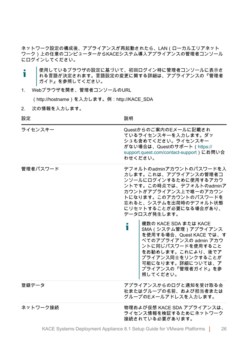ネットワーク設定の構成後、アプライアンスが再起動されたら、LAN(ローカルエリアネット ワーク)上の任意のコンピューターからKACEシステム導入アプライアンスの管理者コンソール にログインしてください。

- 使用しているブラウザの設定に基づいて、初回ログイン時に管理者コンソールに表示さ Ť れる言語が決定されます。言語設定の変更に関する詳細は、アプライアンスの『管理者 ガイド』を参照してください。
- 1. Webブラウザを開き、管理者コンソールのURL

(http://hostname)を入力します。例:http://KACE\_SDA

2. 次の情報を入力します。

設定 しょうしゃ しょうしゃ おうしゃ 説明 おおし かいきょう かいきょう

| ライセンスキー  | Questからのご案内のEメールに記載され<br>ているライセンスキーを入力します。ダッ<br>シュも含めてください。ライセンスキー<br>がない場合は、Questのサポート (https://<br>support.quest.com/contact-support)にお問い合<br>わせください。                                                                                                                                                                                                   |
|----------|-----------------------------------------------------------------------------------------------------------------------------------------------------------------------------------------------------------------------------------------------------------------------------------------------------------------------------------------------------------|
| 管理者パスワード | デフォルトのadminアカウントのパスワードを入<br>力します。これは、アプライアンスの管理者コ<br>ンソールにログインするために使用するアカウ<br>ントです。この時点では、デフォルトのadminア<br>カウントがアプライアンス上で唯一のアカウン<br>トになります。このアカウントのパスワードを<br>忘れると、システムを出荷時のデフォルト状態<br>にリセットすることが必要になる場合があり、<br>データロスが発生します。<br>複数の KACE SDA または KACE<br>т<br>SMA (システム管理) アプライアンス<br>を使用する場合、Quest KACE では、す<br>べてのアプライアンスの admin アカウ<br>ントに同じパスワードを使用すること |
|          | をお勧めします。これにより、後でア<br>プライアンス同士をリンクすることが<br>可能になります。詳細については、ア<br>プライアンスの『管理者ガイド』を参<br>照してください。                                                                                                                                                                                                                                                              |
| 登録データ    | アプライアンスからのログと通知を受け取る会<br>社またはグループの名前、および担当者または<br>グループのEメールアドレスを入力します。                                                                                                                                                                                                                                                                                    |
| ネットワーク接続 | 物理および仮想 KACE SDA アプライアンスは、<br>ライセンス情報を検証するためにネットワーク<br>接続されている必要があります。                                                                                                                                                                                                                                                                                    |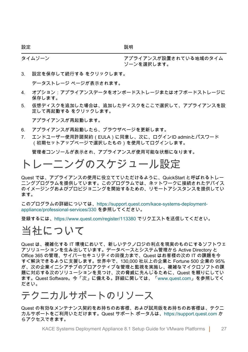設定 しょうしゃ しょうしゃ おうしゃ 説明 おおし かいきょう かいきょう

タイムゾーン フライアンスが設置されている地域のタイム ゾーンを選択します。

- 3. 設定を保存して続行する をクリックします。 データストレージ ページが表示されます。
- 4. オプション:アプライアンスデータをオンボードストレージまたはオフボードストレージに 保存します。
- 5. 仮想ディスクを追加した場合は、追加したディスクをここで選択して、アプライアンスを設 定して再起動する をクリックします。

アプライアンスが再起動します。

- 6. アプライアンスが再起動したら、ブラウザページを更新します。
- 7. エンドユーザー使用許諾契約(EULA)に同意し、次に、ログインID adminとパスワード (初期セットアップページで選択したもの)を使用してログインします。

管理者コンソールが表示され、アプライアンスが使用可能な状態になります。

#### <span id="page-26-0"></span>トレーニングのスケジュール設定

Quest では、アプライアンスの使用に役立てていただけるように、QuickStart と呼ばれるトレー ニングプログラムを提供しています。このプログラムでは、ネットワークに接続されたデバイス のイメージングおよびプロビジョニングを開始するための、リモートアシスタンスを提供してい ます。

このプログラムの詳細については、[https://support.quest.com/kace-systems-deployment](https://support.quest.com/kace-systems-deployment-appliance/professional-services/330)[appliance/professional-services/330](https://support.quest.com/kace-systems-deployment-appliance/professional-services/330) を参照してください。

登録するには、<https://www.quest.com/register/113380> でリクエストを送信してください。

#### <span id="page-26-1"></span>当社について

Quest は、複雑化する IT 環境において、新しいテクノロジの利点を現実のものにするソフトウェ アソリューションを生み出しています。データベースとシステム管理から Active Directory と Office 365 の管理、サイバーセキュリティの回復力まで、Quest はお客様の次の IT の課題を今 すぐ解決できるように支援します。世界中で、130,000 社以上の企業と Fortune 500 企業の 95% が、次の企業イニシアチブのプロアクティブな管理と監視を実施し、複雑なマイクロソフトの課 題に対応する次のソリューションを見つけ、次の脅威に先んじるために、Quest を頼りにしてい ます。Quest Software。今「次」に備える。詳細に関しては、[「www.quest.com」](https://www.quest.com/company/contact-us.aspx)を参照してく ださい。

#### <span id="page-26-2"></span>テクニカルサポートのリソース

Quest の有効なメンテナンス契約をお持ちのお客様、および試用版をお持ちのお客様は、テクニ カルサポートをご利用いただけます。Quest サポート ポータルは、[https://support.quest.com](https://support.quest.com/) か らアクセスできます。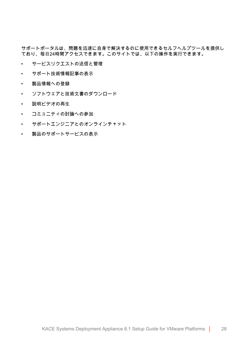サポートポータルは、問題を迅速に自身で解決するのに使用できるセルフヘルプツールを提供し ており、毎日24時間アクセスできます。このサイトでは、以下の操作を実行できます。

- サービスリクエストの送信と管理
- サポート技術情報記事の表示
- 製品情報への登録
- ソフトウェアと技術文書のダウンロード
- 説明ビデオの再生
- コミュニティの討論への参加
- サポートエンジニアとのオンラインチャット
- 製品のサポートサービスの表示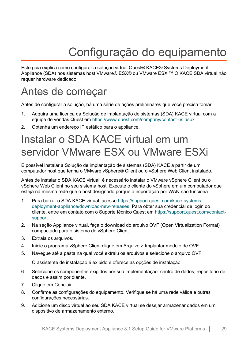# Configuração do equipamento

<span id="page-28-0"></span>Este guia explica como configurar a solução virtual Quest® KACE® Systems Deployment Appliance (SDA) nos sistemas host VMware® ESX® ou VMware ESXi™.O KACE SDA virtual não requer hardware dedicado.

## <span id="page-28-1"></span>Antes de começar

Antes de configurar a solução, há uma série de ações preliminares que você precisa tomar.

- 1. Adquira uma licença da Solução de implantação de sistemas (SDA) KACE virtual com a equipe de vendas Quest em [https://www.quest.com/company/contact-us.aspx.](https://www.quest.com/company/contact-us.aspx)
- 2. Obtenha um endereço IP estático para o appliance.

# <span id="page-28-2"></span>Instalar o SDA KACE virtual em um servidor VMware ESX ou VMware ESXi

É possível instalar a Solução de implantação de sistemas (SDA) KACE a partir de um computador host que tenha o VMware vSphere® Client ou o vSphere Web Client instalado.

Antes de instalar o SDA KACE virtual, é necessário instalar o VMware vSphere Client ou o vSphere Web Client no seu sistema host. Execute o cliente do vSphere em um computador que esteja na mesma rede que o host designado porque a importação por WAN não funciona.

- 1. Para baixar o SDA KACE virtual, acesse [https://support.quest.com/kace-systems](https://support.quest.com/kace-systems-deployment-appliance/download-new-releases)[deployment-appliance/download-new-releases.](https://support.quest.com/kace-systems-deployment-appliance/download-new-releases) Para obter sua credencial de login do cliente, entre em contato com o Suporte técnico Quest em [https://support.quest.com/contact](https://support.quest.com/contact-support)[support.](https://support.quest.com/contact-support)
- 2. Na seção Appliance virtual, faça o download do arquivo OVF (Open Virtualization Format) compactado para o sistema do vSphere Client.
- 3. Extraia os arquivos.
- 4. Inicie o programa vSphere Client clique em Arquivo > Implantar modelo de OVF.
- 5. Navegue até a pasta na qual você extraiu os arquivos e selecione o arquivo OVF.

O assistente de instalação é exibido e oferece as opções de instalação.

- 6. Selecione os componentes exigidos por sua implementação: centro de dados, repositório de dados e assim por diante.
- 7. Clique em Concluir.
- 8. Confirme as configurações do equipamento. Verifique se há uma rede válida e outras configurações necessárias.
- 9. Adicione um disco virtual ao seu SDA KACE virtual se desejar armazenar dados em um dispositivo de armazenamento externo.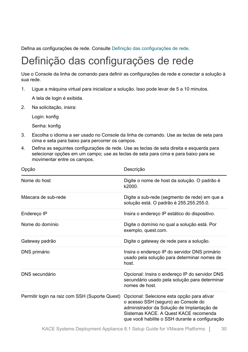Defina as configurações de rede. Consulte [Definição das configurações de rede](#page-29-0).

# <span id="page-29-0"></span>Definição das configurações de rede

Use o Console da linha de comando para definir as configurações de rede e conectar a solução à sua rede.

1. Ligue a máquina virtual para inicializar a solução. Isso pode levar de 5 a 10 minutos.

A tela de login é exibida.

2. Na solicitação, insira:

Login: konfig

Senha: konfig

- 3. Escolha o idioma a ser usado no Console da linha de comando. Use as teclas de seta para cima e seta para baixo para percorrer os campos.
- 4. Defina as seguintes configurações de rede. Use as teclas de seta direita e esquerda para selecionar opções em um campo; use as teclas de seta para cima e para baixo para se movimentar entre os campos.

| Opção                                          | Descrição                                                                                                                                                                                                                  |
|------------------------------------------------|----------------------------------------------------------------------------------------------------------------------------------------------------------------------------------------------------------------------------|
| Nome do host                                   | Digite o nome de host da solução. O padrão é<br>k2000.                                                                                                                                                                     |
| Máscara de sub-rede                            | Digite a sub-rede (segmento de rede) em que a<br>solução está. O padrão é 255.255.255.0.                                                                                                                                   |
| Endereço IP                                    | Insira o endereço IP estático do dispositivo.                                                                                                                                                                              |
| Nome do domínio                                | Digite o domínio no qual a solução está. Por<br>exemplo, quest.com.                                                                                                                                                        |
| Gateway padrão                                 | Digite o gateway de rede para a solução.                                                                                                                                                                                   |
| DNS primário                                   | Insira o endereço IP do servidor DNS primário<br>usado pela solução para determinar nomes de<br>host.                                                                                                                      |
| DNS secundário                                 | Opcional: Insira o endereço IP do servidor DNS<br>secundário usado pela solução para determinar<br>nomes de host.                                                                                                          |
| Permitir login na raiz com SSH (Suporte Quest) | Opcional: Selecione esta opção para ativar<br>o acesso SSH (seguro) ao Console do<br>administrador da Solução de Implantação de<br>Sistemas KACE, A Quest KACE recomenda<br>que você habilite o SSH durante a configuração |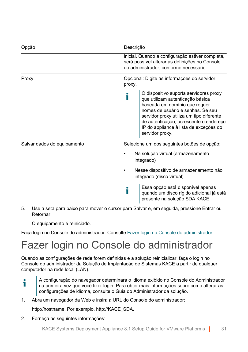| Opção                       | Descrição                                                                                                                                                                                                                                                                                           |
|-----------------------------|-----------------------------------------------------------------------------------------------------------------------------------------------------------------------------------------------------------------------------------------------------------------------------------------------------|
|                             | inicial. Quando a configuração estiver completa,<br>será possível alterar as definições no Console<br>do administrador, conforme necessário.                                                                                                                                                        |
| Proxy                       | Opcional: Digite as informações do servidor<br>proxy.                                                                                                                                                                                                                                               |
|                             | O dispositivo suporta servidores proxy<br>que utilizam autenticação básica<br>baseada em domínio que requer<br>nomes de usuário e senhas. Se seu<br>servidor proxy utiliza um tipo diferente<br>de autenticação, acrescente o endereço<br>IP do appliance à lista de exceções do<br>servidor proxy. |
| Salvar dados do equipamento | Selecione um dos seguintes botões de opção:                                                                                                                                                                                                                                                         |
|                             | Na solução virtual (armazenamento<br>integrado)                                                                                                                                                                                                                                                     |
|                             | Nesse dispositivo de armazenamento não<br>integrado (disco virtual)                                                                                                                                                                                                                                 |
|                             | Essa opção está disponível apenas<br>quando um disco rígido adicional já está<br>presente na solução SDA KACE.                                                                                                                                                                                      |

5. Use a seta para baixo para mover o cursor para Salvar e, em seguida, pressione Entrar ou Retornar.

O equipamento é reiniciado.

Faça login no Console do administrador. Consulte [Fazer login no Console do administrador.](#page-30-0)

# <span id="page-30-0"></span>Fazer login no Console do administrador

Quando as configurações de rede forem definidas e a solução reinicializar, faça o login no Console do administrador da Solução de Implantação de Sistemas KACE a partir de qualquer computador na rede local (LAN).

- A configuração do navegador determinará o idioma exibido no Console do Administrador i na primeira vez que você fizer login. Para obter mais informações sobre como alterar as configurações de idioma, consulte o Guia do Administrador da solução.
- 1. Abra um navegador da Web e insira a URL do Console do administrador:

http://hostname. Por exemplo, http://KACE\_SDA.

2. Forneça as seguintes informações: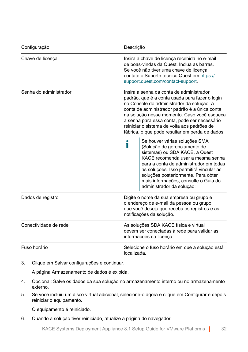| Configuração           | Descrição                                                                                                                                                                                                                                                                                                                                                                                 |
|------------------------|-------------------------------------------------------------------------------------------------------------------------------------------------------------------------------------------------------------------------------------------------------------------------------------------------------------------------------------------------------------------------------------------|
| Chave de licença       | Insira a chave de licença recebida no e-mail<br>de boas-vindas da Quest. Inclua as barras.<br>Se você não tiver uma chave de licenca,<br>contate o Suporte técnico Quest em https://<br>support.quest.com/contact-support.                                                                                                                                                                |
| Senha do administrador | Insira a senha da conta de administrador<br>padrão, que é a conta usada para fazer o login<br>no Console do administrador da solução. A<br>conta de administrador padrão é a única conta<br>na solução nesse momento. Caso você esqueça<br>a senha para essa conta, pode ser necessário<br>reiniciar o sistema de volta aos padrões de<br>fábrica, o que pode resultar em perda de dados. |
|                        | Se houver várias soluções SMA<br>i<br>(Solução de gerenciamento de<br>sistemas) ou SDA KACE, a Quest<br>KACE recomenda usar a mesma senha<br>para a conta de administrador em todas<br>as soluções. Isso permitirá vincular as<br>soluções posteriormente. Para obter<br>mais informações, consulte o Guia do<br>administrador da solução:                                                |
| Dados de registro      | Digite o nome da sua empresa ou grupo e<br>o endereço de e-mail da pessoa ou grupo<br>que você deseja que receba os registros e as<br>notificações da solução.                                                                                                                                                                                                                            |
| Conectividade de rede  | As soluções SDA KACE física e virtual<br>devem ser conectadas à rede para validar as<br>informações da licença.                                                                                                                                                                                                                                                                           |
| Fuso horário           | Selecione o fuso horário em que a solução está<br>localizada.                                                                                                                                                                                                                                                                                                                             |

3. Clique em Salvar configurações e continuar.

A página Armazenamento de dados é exibida.

- 4. Opcional: Salve os dados da sua solução no armazenamento interno ou no armazenamento externo.
- 5. Se você incluiu um disco virtual adicional, selecione-o agora e clique em Configurar e depois reiniciar o equipamento.

O equipamento é reiniciado.

6. Quando a solução tiver reiniciado, atualize a página do navegador.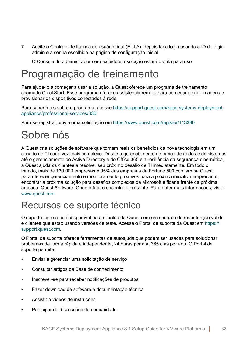7. Aceite o Contrato de licença de usuário final (EULA), depois faça login usando a ID de login admin e a senha escolhida na página de configuração inicial.

O Console do administrador será exibido e a solução estará pronta para uso.

## <span id="page-32-0"></span>Programação de treinamento

Para ajudá-lo a começar a usar a solução, a Quest oferece um programa de treinamento chamado QuickStart. Esse programa oferece assistência remota para começar a criar imagens e provisionar os dispositivos conectados à rede.

Para saber mais sobre o programa, acesse [https://support.quest.com/kace-systems-deployment](https://support.quest.com/kace-systems-deployment-appliance/professional-services/330)[appliance/professional-services/330](https://support.quest.com/kace-systems-deployment-appliance/professional-services/330).

Para se registrar, envie uma solicitação em [https://www.quest.com/register/113380.](https://www.quest.com/register/113380)

# <span id="page-32-1"></span>Sobre nós

A Quest cria soluções de software que tornam reais os benefícios da nova tecnologia em um cenário de TI cada vez mais complexo. Desde o gerenciamento de banco de dados e de sistemas até o gerenciamento do Active Directory e do Office 365 e a resiliência da segurança cibernética, a Quest ajuda os clientes a resolver seu próximo desafio de TI imediatamente. Em todo o mundo, mais de 130.000 empresas e 95% das empresas da Fortune 500 confiam na Quest para oferecer gerenciamento e monitoramento proativos para a próxima iniciativa empresarial, encontrar a próxima solução para desafios complexos da Microsoft e ficar à frente da próxima ameaça. Quest Software. Onde o futuro encontra o presente. Para obter mais informações, visite [www.quest.com](https://www.quest.com/company/contact-us.aspx)

#### <span id="page-32-2"></span>Recursos de suporte técnico

O suporte técnico está disponível para clientes da Quest com um contrato de manutenção válido e clientes que estão usando versões de teste. Acesse o Portal de suporte da Quest em [https://](https://support.quest.com/) [support.quest.com.](https://support.quest.com/)

O Portal de suporte oferece ferramentas de autoajuda que podem ser usadas para solucionar problemas de forma rápida e independente, 24 horas por dia, 365 dias por ano. O Portal de suporte permite:

- Enviar e gerenciar uma solicitação de serviço
- Consultar artigos da Base de conhecimento
- Inscrever-se para receber notificações de produtos
- Fazer download de software e documentação técnica
- Assistir a vídeos de instruções
- Participar de discussões da comunidade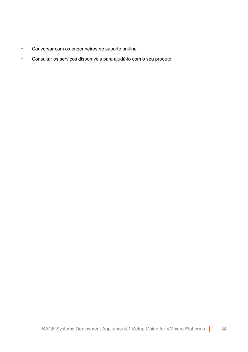- Conversar com os engenheiros de suporte on-line
- Consultar os serviços disponíveis para ajudá-lo com o seu produto.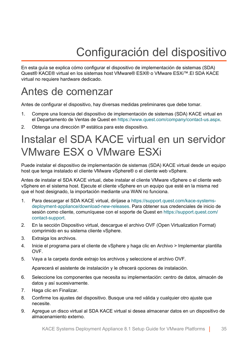# Configuración del dispositivo

<span id="page-34-0"></span>En esta guía se explica cómo configurar el dispositivo de implementación de sistemas (SDA) Quest® KACE® virtual en los sistemas host VMware® ESX® o VMware ESXi™.El SDA KACE virtual no requiere hardware dedicado.

### <span id="page-34-1"></span>Antes de comenzar

Antes de configurar el dispositivo, hay diversas medidas preliminares que debe tomar.

- 1. Compre una licencia del dispositivo de implementación de sistemas (SDA) KACE virtual en el Departamento de Ventas de Quest en [https://www.quest.com/company/contact-us.aspx.](https://www.quest.com/company/contact-us.aspx)
- 2. Obtenga una dirección IP estática para este dispositivo.

# <span id="page-34-2"></span>Instalar el SDA KACE virtual en un servidor VMware ESX o VMware ESXi

Puede instalar el dispositivo de implementación de sistemas (SDA) KACE virtual desde un equipo host que tenga instalado el cliente VMware vSphere® o el cliente web vSphere.

Antes de instalar el SDA KACE virtual, debe instalar el cliente VMware vSphere o el cliente web vSphere en el sistema host. Ejecute el cliente vSphere en un equipo que esté en la misma red que el host designado, la importación mediante una WAN no funciona.

- 1. Para descargar el SDA KACE virtual, diríjase a [https://support.quest.com/kace-systems](https://support.quest.com/kace-systems-deployment-appliance/download-new-releases)[deployment-appliance/download-new-releases.](https://support.quest.com/kace-systems-deployment-appliance/download-new-releases) Para obtener sus credenciales de inicio de sesión como cliente, comuníquese con el soporte de Quest en [https://support.quest.com/](https://support.quest.com/contact-support) [contact-support](https://support.quest.com/contact-support).
- 2. En la sección Dispositivo virtual, descargue el archivo OVF (Open Virtualization Format) comprimido en su sistema cliente vSphere.
- 3. Extraiga los archivos.
- 4. Inicie el programa para el cliente de vSphere y haga clic en Archivo > Implementar plantilla OVF.
- 5. Vaya a la carpeta donde extrajo los archivos y seleccione el archivo OVF.

Aparecerá el asistente de instalación y le ofrecerá opciones de instalación.

- 6. Seleccione los componentes que necesita su implementación: centro de datos, almacén de datos y así sucesivamente.
- 7. Haga clic en Finalizar.
- 8. Confirme los ajustes del dispositivo. Busque una red válida y cualquier otro ajuste que necesite.
- 9. Agregue un disco virtual al SDA KACE virtual si desea almacenar datos en un dispositivo de almacenamiento externo.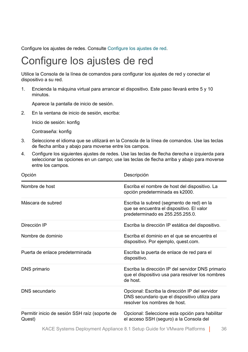Configure los ajustes de redes. Consulte [Configure los ajustes de red.](#page-35-0)

### <span id="page-35-0"></span>Configure los ajustes de red

Utilice la Consola de la línea de comandos para configurar los ajustes de red y conectar el dispositivo a su red.

1. Encienda la máquina virtual para arrancar el dispositivo. Este paso llevará entre 5 y 10 minutos.

Aparece la pantalla de inicio de sesión.

2. En la ventana de inicio de sesión, escriba:

Inicio de sesión: konfig

Contraseña: konfig

- 3. Seleccione el idioma que se utilizará en la Consola de la línea de comandos. Use las teclas de flecha arriba y abajo para moverse entre los campos.
- 4. Configure los siguientes ajustes de redes. Use las teclas de flecha derecha e izquierda para seleccionar las opciones en un campo; use las teclas de flecha arriba y abajo para moverse entre los campos.

| Opción                                                   | Descripción                                                                                                                      |
|----------------------------------------------------------|----------------------------------------------------------------------------------------------------------------------------------|
| Nombre de host                                           | Escriba el nombre de host del dispositivo. La<br>opción predeterminada es k2000.                                                 |
| Máscara de subred                                        | Escriba la subred (segmento de red) en la<br>que se encuentra el dispositivo. El valor<br>predeterminado es 255.255.255.0.       |
| Dirección IP                                             | Escriba la dirección IP estática del dispositivo.                                                                                |
| Nombre de dominio                                        | Escriba el dominio en el que se encuentra el<br>dispositivo. Por ejemplo, quest.com.                                             |
| Puerta de enlace predeterminada                          | Escriba la puerta de enlace de red para el<br>dispositivo.                                                                       |
| DNS primario                                             | Escriba la dirección IP del servidor DNS primario<br>que el dispositivo usa para resolver los nombres<br>de host.                |
| DNS secundario                                           | Opcional: Escriba la dirección IP del servidor<br>DNS secundario que el dispositivo utiliza para<br>resolver los nombres de host |
| Permitir inicio de sesión SSH raíz (soporte de<br>Quest) | Opcional: Seleccione esta opción para habilitar<br>el acceso SSH (seguro) a la Consola del                                       |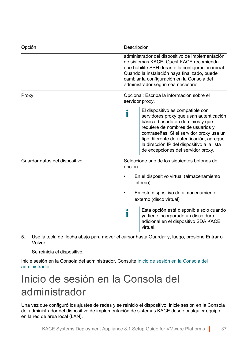| Opción                        | Descripción                                                                                                                                                                                                                                                                                                                           |
|-------------------------------|---------------------------------------------------------------------------------------------------------------------------------------------------------------------------------------------------------------------------------------------------------------------------------------------------------------------------------------|
|                               | administrador del dispositivo de implementación<br>de sistemas KACE, Quest KACE recomienda<br>que habilite SSH durante la configuración inicial.<br>Cuando la instalación haya finalizado, puede<br>cambiar la configuración en la Consola del<br>administrador según sea necesario.                                                  |
| Proxy                         | Opcional: Escriba la información sobre el<br>servidor proxy.                                                                                                                                                                                                                                                                          |
|                               | El dispositivo es compatible con<br>i<br>servidores proxy que usan autenticación<br>básica, basada en dominios y que<br>requiere de nombres de usuarios y<br>contraseñas. Si el servidor proxy usa un<br>tipo diferente de autenticación, agregue<br>la dirección IP del dispositivo a la lista<br>de excepciones del servidor proxy. |
| Guardar datos del dispositivo | Seleccione uno de los siguientes botones de<br>opción:                                                                                                                                                                                                                                                                                |
|                               | En el dispositivo virtual (almacenamiento<br>interno)                                                                                                                                                                                                                                                                                 |
|                               | En este dispositivo de almacenamiento<br>externo (disco virtual)                                                                                                                                                                                                                                                                      |
|                               | Esta opción está disponible solo cuando<br>i<br>ya tiene incorporado un disco duro<br>adicional en el dispositivo SDA KACE<br>virtual.                                                                                                                                                                                                |

5. Use la tecla de flecha abajo para mover el cursor hasta Guardar y, luego, presione Entrar o Volver.

Se reinicia el dispositivo.

Inicie sesión en la Consola del administrador. Consulte [Inicio de sesión en la Consola del](#page-36-0) [administrador](#page-36-0).

# <span id="page-36-0"></span>Inicio de sesión en la Consola del administrador

Una vez que configuró los ajustes de redes y se reinició el dispositivo, inicie sesión en la Consola del administrador del dispositivo de implementación de sistemas KACE desde cualquier equipo en la red de área local (LAN).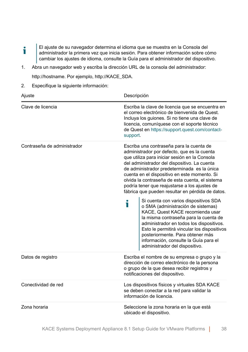- El ajuste de su navegador determina el idioma que se muestra en la Consola del f administrador la primera vez que inicia sesión. Para obtener información sobre cómo cambiar los ajustes de idioma, consulte la Guía para el administrador del dispositivo.
- 1. Abra un navegador web y escriba la dirección URL de la consola del administrador: http://hostname. Por ejemplo, http://KACE\_SDA.
- 2. Especifique la siguiente información:

| Ajuste                      | Descripción                                                                                                                                                                                                                                                                                                                                                                                                                                     |
|-----------------------------|-------------------------------------------------------------------------------------------------------------------------------------------------------------------------------------------------------------------------------------------------------------------------------------------------------------------------------------------------------------------------------------------------------------------------------------------------|
| Clave de licencia           | Escriba la clave de licencia que se encuentra en<br>el correo electrónico de bienvenida de Quest.<br>Incluya los guiones. Si no tiene una clave de<br>licencia, comuníquese con el soporte técnico<br>de Quest en https://support.quest.com/contact-<br>support.                                                                                                                                                                                |
| Contraseña de administrador | Escriba una contraseña para la cuenta de<br>administrador por defecto, que es la cuenta<br>que utiliza para iniciar sesión en la Consola<br>del administrador del dispositivo. La cuenta<br>de administrador predeterminada es la única<br>cuenta en el dispositivo en este momento. Si<br>olvida la contraseña de esta cuenta, el sistema<br>podría tener que reajustarse a los ajustes de<br>fábrica que pueden resultar en pérdida de datos. |
|                             | Si cuenta con varios dispositivos SDA<br>i<br>o SMA (administración de sistemas)<br>KACE, Quest KACE recomienda usar<br>la misma contraseña para la cuenta de<br>administrador en todos los dispositivos.<br>Esto le permitirá vincular los dispositivos<br>posteriormente. Para obtener más<br>información, consulte la Guía para el<br>administrador del dispositivo.                                                                         |
| Datos de registro           | Escriba el nombre de su empresa o grupo y la<br>dirección de correo electrónico de la persona<br>o grupo de la que desea recibir registros y<br>notificaciones del dispositivo.                                                                                                                                                                                                                                                                 |
| Conectividad de red         | Los dispositivos físicos y virtuales SDA KACE<br>se deben conectar a la red para validar la<br>información de licencia.                                                                                                                                                                                                                                                                                                                         |
| Zona horaria                | Seleccione la zona horaria en la que está<br>ubicado el dispositivo.                                                                                                                                                                                                                                                                                                                                                                            |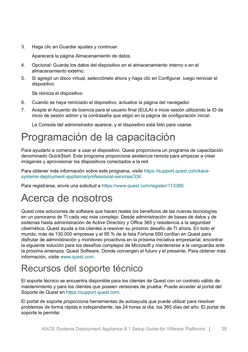3. Haga clic en Guardar ajustes y continuar.

Aparecerá la página Almacenamiento de datos.

- 4. Opcional: Guarde los datos del dispositivo en el almacenamiento interno o en el almacenamiento externo.
- 5. Si agregó un disco virtual, selecciónelo ahora y haga clic en Configurar, luego reiniciar el dispositivo.

Se reinicia el dispositivo.

- 6. Cuando se haya reiniciado el dispositivo, actualice la página del navegador.
- 7. Acepte el Acuerdo de licencia para el usuario final (EULA) e inicie sesión utilizando la ID de inicio de sesión admin y la contraseña que eligió en la página de configuración inicial.

La Consola del administrador aparece, y el dispositivo está listo para usarse.

## <span id="page-38-0"></span>Programación de la capacitación

Para ayudarlo a comenzar a usar el dispositivo, Quest proporciona un programa de capacitación denominado QuickStart. Este programa proporciona asistencia remota para empezar a crear imágenes y aprovisionar los dispositivos conectados a la red.

Para obtener más información sobre este programa, visite [https://support.quest.com/kace](https://support.quest.com/kace-systems-deployment-appliance/professional-services/330)[systems-deployment-appliance/professional-services/330](https://support.quest.com/kace-systems-deployment-appliance/professional-services/330).

Para registrarse, envíe una solicitud a [https://www.quest.com/register/113380.](https://www.quest.com/register/113380)

### <span id="page-38-1"></span>Acerca de nosotros

Quest crea soluciones de software que hacen reales los beneficios de las nuevas tecnologías en un panorama de TI cada vez más complejo. Desde administración de bases de datos y de sistemas hasta administración de Active Directory y Office 365 y resistencia a la seguridad cibernética, Quest ayuda a los clientes a resolver su próximo desafío de TI ahora. En todo el mundo, más de 130.000 empresas y el 95 % de la lista Fortune 500 confían en Quest para disfrutar de administración y monitoreo proactivos en la próxima iniciativa empresarial, encontrar la siguiente solución para los desafíos complejos de Microsoft y mantenerse a la vanguardia ante la próxima amenaza. Quest Software. Donde convergen el futuro y el presente. Para obtener más información, visite [www.quest.com.](https://www.quest.com/company/contact-us.aspx)

#### <span id="page-38-2"></span>Recursos del soporte técnico

El soporte técnico se encuentra disponible para los clientes de Quest con un contrato válido de mantenimiento y para los clientes que poseen versiones de prueba. Puede acceder al portal del Soporte de Quest en [https://support.quest.com.](https://support.quest.com/)

El portal de soporte proporciona herramientas de autoayuda que puede utilizar para resolver problemas de forma rápida e independiente, las 24 horas al día, los 365 días del año. El portal de soporte le permite: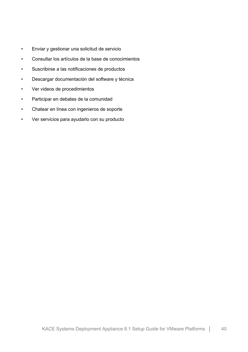- Enviar y gestionar una solicitud de servicio
- Consultar los artículos de la base de conocimientos
- Suscribirse a las notificaciones de productos
- Descargar documentación del software y técnica
- Ver videos de procedimientos
- Participar en debates de la comunidad
- Chatear en línea con ingenieros de soporte
- Ver servicios para ayudarlo con su producto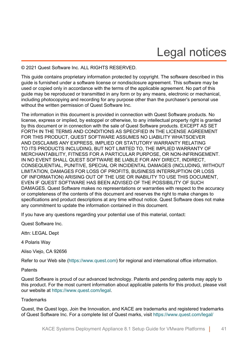# Legal notices

#### <span id="page-40-0"></span>© 2021 Quest Software Inc. ALL RIGHTS RESERVED.

This guide contains proprietary information protected by copyright. The software described in this guide is furnished under a software license or nondisclosure agreement. This software may be used or copied only in accordance with the terms of the applicable agreement. No part of this guide may be reproduced or transmitted in any form or by any means, electronic or mechanical, including photocopying and recording for any purpose other than the purchaser's personal use without the written permission of Quest Software Inc.

The information in this document is provided in connection with Quest Software products. No license, express or implied, by estoppel or otherwise, to any intellectual property right is granted by this document or in connection with the sale of Quest Software products. EXCEPT AS SET FORTH IN THE TERMS AND CONDITIONS AS SPECIFIED IN THE LICENSE AGREEMENT FOR THIS PRODUCT, QUEST SOFTWARE ASSUMES NO LIABILITY WHATSOEVER AND DISCLAIMS ANY EXPRESS, IMPLIED OR STATUTORY WARRANTY RELATING TO ITS PRODUCTS INCLUDING, BUT NOT LIMITED TO, THE IMPLIED WARRANTY OF MERCHANTABILITY, FITNESS FOR A PARTICULAR PURPOSE, OR NON-INFRINGEMENT. IN NO EVENT SHALL QUEST SOFTWARE BE LIABLE FOR ANY DIRECT, INDIRECT, CONSEQUENTIAL, PUNITIVE, SPECIAL OR INCIDENTAL DAMAGES (INCLUDING, WITHOUT LIMITATION, DAMAGES FOR LOSS OF PROFITS, BUSINESS INTERRUPTION OR LOSS OF INFORMATION) ARISING OUT OF THE USE OR INABILITY TO USE THIS DOCUMENT, EVEN IF QUEST SOFTWARE HAS BEEN ADVISED OF THE POSSIBILITY OF SUCH DAMAGES. Quest Software makes no representations or warranties with respect to the accuracy or completeness of the contents of this document and reserves the right to make changes to specifications and product descriptions at any time without notice. Quest Software does not make any commitment to update the information contained in this document.

If you have any questions regarding your potential use of this material, contact:

Quest Software Inc.

Attn: LEGAL Dept

4 Polaris Way

Aliso Viejo, CA 92656

Refer to our Web site [\(https://www.quest.com\)](https://www.quest.com) for regional and international office information.

#### **Patents**

Quest Software is proud of our advanced technology. Patents and pending patents may apply to this product. For the most current information about applicable patents for this product, please visit our website at [https://www.quest.com/legal.](https://www.quest.com/legal)

#### **Trademarks**

Quest, the Quest logo, Join the Innovation, and KACE are trademarks and registered trademarks of Quest Software Inc. For a complete list of Quest marks, visit [https://www.quest.com/legal/](https://www.quest.com/legal/trademark-information.aspx)